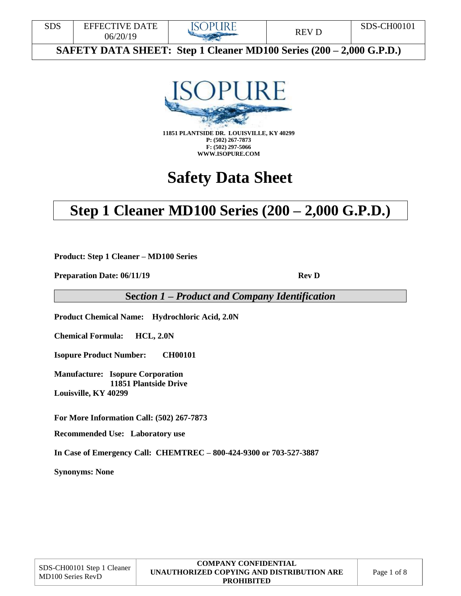



**F: (502) 297-5066 WWW.ISOPURE.COM**

# **Safety Data Sheet**

# **Step 1 Cleaner MD100 Series (200 – 2,000 G.P.D.)**

**Product: Step 1 Cleaner – MD100 Series**

**Preparation Date: 06/11/19 Rev D** 

**Se***ction 1 – Product and Company Identification*

**Product Chemical Name: Hydrochloric Acid, 2.0N**

**Chemical Formula: HCL, 2.0N**

**Isopure Product Number: CH00101**

**Manufacture: Isopure Corporation 11851 Plantside Drive Louisville, KY 40299**

**For More Information Call: (502) 267-7873** 

**Recommended Use: Laboratory use** 

**In Case of Emergency Call: CHEMTREC – 800-424-9300 or 703-527-3887** 

**Synonyms: None**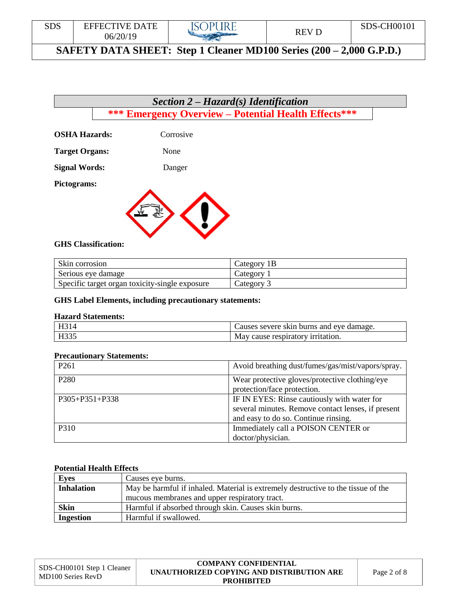## *Section 2 – Hazard(s) Identification* **\*\*\* Emergency Overview – Potential Health Effects\*\*\***

**OSHA Hazards:** Corrosive

**Target Organs:** None

**Signal Words:** Danger

**Pictograms:** 



#### **GHS Classification:**

| Skin corrosion                                 | Category 1B |
|------------------------------------------------|-------------|
| Serious eye damage                             | Category 1  |
| Specific target organ toxicity-single exposure | Category 3  |

#### **GHS Label Elements, including precautionary statements:**

#### **Hazard Statements:**

| $\mathbf{L}$ 1           | Jauses severe skin burns and eve damage. |  |
|--------------------------|------------------------------------------|--|
| $\mathbf{H}22\mathbf{5}$ | cause respiratory irritation.<br>May     |  |

#### **Precautionary Statements:**

| P <sub>261</sub>     | Avoid breathing dust/fumes/gas/mist/vapors/spray.  |  |
|----------------------|----------------------------------------------------|--|
| P <sub>280</sub>     | Wear protective gloves/protective clothing/eye     |  |
|                      | protection/face protection.                        |  |
| $P305 + P351 + P338$ | IF IN EYES: Rinse cautiously with water for        |  |
|                      | several minutes. Remove contact lenses, if present |  |
|                      | and easy to do so. Continue rinsing.               |  |
| P310                 | Immediately call a POISON CENTER or                |  |
|                      | doctor/physician.                                  |  |

#### **Potential Health Effects**

| <b>Eyes</b>       | Causes eye burns.                                                                 |
|-------------------|-----------------------------------------------------------------------------------|
| <b>Inhalation</b> | May be harmful if inhaled. Material is extremely destructive to the tissue of the |
|                   | mucous membranes and upper respiratory tract.                                     |
| <b>Skin</b>       | Harmful if absorbed through skin. Causes skin burns.                              |
| <b>Ingestion</b>  | Harmful if swallowed.                                                             |

#### **COMPANY CONFIDENTIAL UNAUTHORIZED COPYING AND DISTRIBUTION ARE PROHIBITED**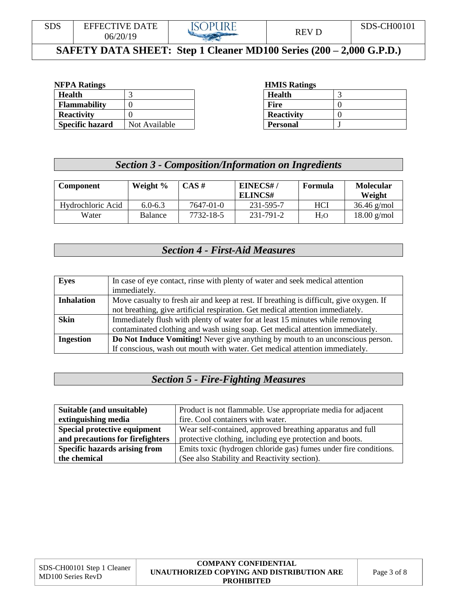

| <b>Health</b>          |               | <b>Health</b>     | $\sim$   |
|------------------------|---------------|-------------------|----------|
| <b>Flammability</b>    |               | Fire              |          |
| <b>Reactivity</b>      |               | <b>Reactivity</b> | $\theta$ |
| <b>Specific hazard</b> | Not Available | <b>Personal</b>   |          |

#### **NFPA Ratings HMIS Ratings**

| <b>Health</b>     |  |
|-------------------|--|
| <b>Fire</b>       |  |
| <b>Reactivity</b> |  |
| <b>Personal</b>   |  |

## *Section 3 - Composition/Information on Ingredients*

| <b>Component</b>  | Weight %       | CAS#      | EINECS#/<br>ELINCS# | Formula          | <b>Molecular</b><br>Weight |
|-------------------|----------------|-----------|---------------------|------------------|----------------------------|
| Hydrochloric Acid | $6.0 - 6.3$    | 7647-01-0 | 231-595-7           | HCI              | $36.46$ g/mol              |
| Water             | <b>Balance</b> | 7732-18-5 | 231-791-2           | H <sub>2</sub> O | $18.00$ g/mol              |

## *Section 4 - First-Aid Measures*

| <b>Eyes</b>       | In case of eye contact, rinse with plenty of water and seek medical attention           |
|-------------------|-----------------------------------------------------------------------------------------|
|                   | immediately.                                                                            |
| <b>Inhalation</b> | Move casualty to fresh air and keep at rest. If breathing is difficult, give oxygen. If |
|                   | not breathing, give artificial respiration. Get medical attention immediately.          |
| <b>Skin</b>       | Immediately flush with plenty of water for at least 15 minutes while removing           |
|                   | contaminated clothing and wash using soap. Get medical attention immediately.           |
| <b>Ingestion</b>  | Do Not Induce Vomiting! Never give anything by mouth to an unconscious person.          |
|                   | If conscious, wash out mouth with water. Get medical attention immediately.             |

## *Section 5 - Fire-Fighting Measures*

| Suitable (and unsuitable)            | Product is not flammable. Use appropriate media for adjacent     |  |
|--------------------------------------|------------------------------------------------------------------|--|
| extinguishing media                  | fire. Cool containers with water.                                |  |
| Special protective equipment         | Wear self-contained, approved breathing apparatus and full       |  |
| and precautions for firefighters     | protective clothing, including eye protection and boots.         |  |
| <b>Specific hazards arising from</b> | Emits toxic (hydrogen chloride gas) fumes under fire conditions. |  |
| the chemical                         | (See also Stability and Reactivity section).                     |  |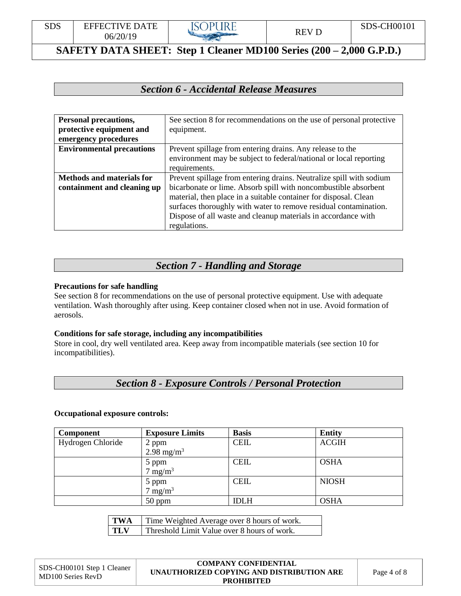

## *Section 6 - Accidental Release Measures*

| <b>Personal precautions,</b>     | See section 8 for recommendations on the use of personal protective |
|----------------------------------|---------------------------------------------------------------------|
| protective equipment and         | equipment.                                                          |
| emergency procedures             |                                                                     |
| <b>Environmental precautions</b> | Prevent spillage from entering drains. Any release to the           |
|                                  | environment may be subject to federal/national or local reporting   |
|                                  | requirements.                                                       |
| <b>Methods and materials for</b> | Prevent spillage from entering drains. Neutralize spill with sodium |
| containment and cleaning up      | bicarbonate or lime. Absorb spill with noncombustible absorbent     |
|                                  | material, then place in a suitable container for disposal. Clean    |
|                                  | surfaces thoroughly with water to remove residual contamination.    |
|                                  | Dispose of all waste and cleanup materials in accordance with       |
|                                  | regulations.                                                        |

#### *Section 7 - Handling and Storage*

#### **Precautions for safe handling**

See section 8 for recommendations on the use of personal protective equipment. Use with adequate ventilation. Wash thoroughly after using. Keep container closed when not in use. Avoid formation of aerosols.

#### **Conditions for safe storage, including any incompatibilities**

Store in cool, dry well ventilated area. Keep away from incompatible materials (see section 10 for incompatibilities).

## *Section 8 - Exposure Controls / Personal Protection*

#### **Occupational exposure controls:**

| <b>Component</b>  | <b>Exposure Limits</b>          | <b>Basis</b> | <b>Entity</b> |
|-------------------|---------------------------------|--------------|---------------|
| Hydrogen Chloride |                                 | <b>CEIL</b>  | <b>ACGIH</b>  |
|                   | 2 ppm<br>2.98 mg/m <sup>3</sup> |              |               |
|                   | 5 ppm                           | <b>CEIL</b>  | <b>OSHA</b>   |
|                   | $7 \text{ mg/m}^3$              |              |               |
|                   | 5 ppm                           | <b>CEIL</b>  | <b>NIOSH</b>  |
|                   | $7 \text{ mg/m}^3$              |              |               |
|                   | $50$ ppm                        | <b>IDLH</b>  | <b>OSHA</b>   |

| TWA        | Time Weighted Average over 8 hours of work. |
|------------|---------------------------------------------|
| <b>TLV</b> | Threshold Limit Value over 8 hours of work. |

| SDS-CH00101 Step 1 Cleaner<br>MD100 Series RevD | <b>COMPANY CONFIDENTIAL</b>               |        |
|-------------------------------------------------|-------------------------------------------|--------|
|                                                 | UNAUTHORIZED COPYING AND DISTRIBUTION ARE | Page 4 |
|                                                 | <b>PROHIBITED</b>                         |        |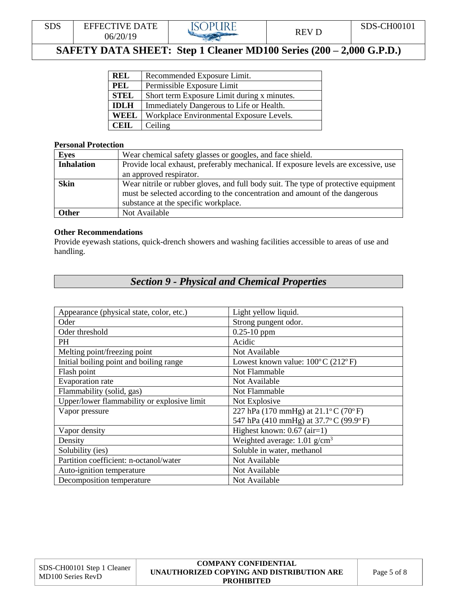

| <b>REL</b>  | Recommended Exposure Limit.                 |
|-------------|---------------------------------------------|
| PEL         | Permissible Exposure Limit                  |
| <b>STEL</b> | Short term Exposure Limit during x minutes. |
| <b>IDLH</b> | Immediately Dangerous to Life or Health.    |
| WEEL        | Workplace Environmental Exposure Levels.    |
| <b>CEIL</b> | Ceiling                                     |

#### **Personal Protection**

| <b>Eyes</b>       | Wear chemical safety glasses or googles, and face shield.                           |  |
|-------------------|-------------------------------------------------------------------------------------|--|
| <b>Inhalation</b> | Provide local exhaust, preferably mechanical. If exposure levels are excessive, use |  |
|                   | an approved respirator.                                                             |  |
| <b>Skin</b>       | Wear nitrile or rubber gloves, and full body suit. The type of protective equipment |  |
|                   | must be selected according to the concentration and amount of the dangerous         |  |
|                   | substance at the specific workplace.                                                |  |
| Other             | Not Available                                                                       |  |

#### **Other Recommendations**

Provide eyewash stations, quick-drench showers and washing facilities accessible to areas of use and handling.

## *Section 9 - Physical and Chemical Properties*

| Appearance (physical state, color, etc.)    | Light yellow liquid.                                     |
|---------------------------------------------|----------------------------------------------------------|
| Oder                                        | Strong pungent odor.                                     |
| Oder threshold                              | $0.25 - 10$ ppm                                          |
| PH                                          | Acidic                                                   |
| Melting point/freezing point                | Not Available                                            |
| Initial boiling point and boiling range     | Lowest known value: $100^{\circ}$ C (212 $^{\circ}$ F)   |
| Flash point                                 | Not Flammable                                            |
| Evaporation rate                            | Not Available                                            |
| Flammability (solid, gas)                   | Not Flammable                                            |
| Upper/lower flammability or explosive limit | Not Explosive                                            |
| Vapor pressure                              | 227 hPa (170 mmHg) at $21.1^{\circ}$ C (70 $^{\circ}$ F) |
|                                             | 547 hPa (410 mmHg) at 37.7°C (99.9°F)                    |
| Vapor density                               | Highest known: $0.67$ (air=1)                            |
| Density                                     | Weighted average: $1.01$ g/cm <sup>3</sup>               |
| Solubility (ies)                            | Soluble in water, methanol                               |
| Partition coefficient: n-octanol/water      | Not Available                                            |
| Auto-ignition temperature                   | Not Available                                            |
| Decomposition temperature                   | Not Available                                            |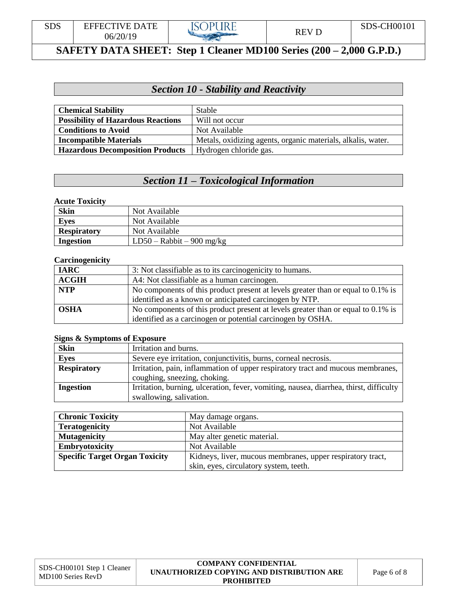

## *Section 10 - Stability and Reactivity*

| <b>Chemical Stability</b>                 | <b>Stable</b>                                                |
|-------------------------------------------|--------------------------------------------------------------|
| <b>Possibility of Hazardous Reactions</b> | Will not occur                                               |
| <b>Conditions to Avoid</b>                | Not Available                                                |
| <b>Incompatible Materials</b>             | Metals, oxidizing agents, organic materials, alkalis, water. |
| <b>Hazardous Decomposition Products</b>   | Hydrogen chloride gas.                                       |

## *Section 11 – Toxicological Information*

#### **Acute Toxicity**

| <b>Skin</b>        | Not Available               |
|--------------------|-----------------------------|
| <b>Eyes</b>        | Not Available               |
| <b>Respiratory</b> | Not Available               |
| Ingestion          | $LD50 - Rabbit - 900 mg/kg$ |

#### **Carcinogenicity**

| <b>IARC</b>  | 3: Not classifiable as to its carcinogenicity to humans.                         |
|--------------|----------------------------------------------------------------------------------|
| <b>ACGIH</b> | A4: Not classifiable as a human carcinogen.                                      |
| <b>NTP</b>   | No components of this product present at levels greater than or equal to 0.1% is |
|              | identified as a known or anticipated carcinogen by NTP.                          |
| <b>OSHA</b>  | No components of this product present at levels greater than or equal to 0.1% is |
|              | identified as a carcinogen or potential carcinogen by OSHA.                      |

#### **Signs & Symptoms of Exposure**

| <b>Skin</b>        | Irritation and burns.                                                                  |  |
|--------------------|----------------------------------------------------------------------------------------|--|
| <b>Eyes</b>        | Severe eye irritation, conjunctivitis, burns, corneal necrosis.                        |  |
| <b>Respiratory</b> | Irritation, pain, inflammation of upper respiratory tract and mucous membranes,        |  |
|                    | coughing, sneezing, choking.                                                           |  |
| Ingestion          | Irritation, burning, ulceration, fever, vomiting, nausea, diarrhea, thirst, difficulty |  |
|                    | swallowing, salivation.                                                                |  |

| <b>Chronic Toxicity</b>               | May damage organs.                                         |
|---------------------------------------|------------------------------------------------------------|
| <b>Teratogenicity</b>                 | Not Available                                              |
| <b>Mutagenicity</b>                   | May alter genetic material.                                |
| <b>Embryotoxicity</b>                 | Not Available                                              |
| <b>Specific Target Organ Toxicity</b> | Kidneys, liver, mucous membranes, upper respiratory tract, |
|                                       | skin, eyes, circulatory system, teeth.                     |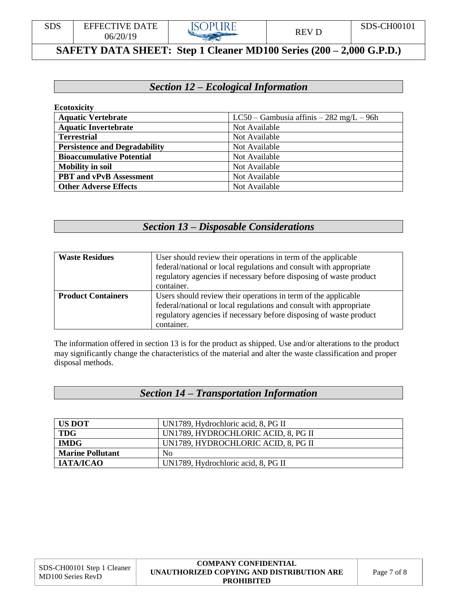

## *Section 12 – Ecological Information*

| <b>Ecotoxicity</b>                   |                                              |
|--------------------------------------|----------------------------------------------|
| <b>Aquatic Vertebrate</b>            | $LC50 - Gambusia$ affinis $-282$ mg/L $-96h$ |
| <b>Aquatic Invertebrate</b>          | Not Available                                |
| <b>Terrestrial</b>                   | Not Available                                |
| <b>Persistence and Degradability</b> | Not Available                                |
| <b>Bioaccumulative Potential</b>     | Not Available                                |
| <b>Mobility in soil</b>              | Not Available                                |
| <b>PBT</b> and vPvB Assessment       | Not Available                                |
| <b>Other Adverse Effects</b>         | Not Available                                |

## *Section 13 – Disposable Considerations*

| <b>Waste Residues</b>     | User should review their operations in term of the applicable<br>federal/national or local regulations and consult with appropriate<br>regulatory agencies if necessary before disposing of waste product<br>container.  |
|---------------------------|--------------------------------------------------------------------------------------------------------------------------------------------------------------------------------------------------------------------------|
| <b>Product Containers</b> | Users should review their operations in term of the applicable<br>federal/national or local regulations and consult with appropriate<br>regulatory agencies if necessary before disposing of waste product<br>container. |

The information offered in section 13 is for the product as shipped. Use and/or alterations to the product may significantly change the characteristics of the material and alter the waste classification and proper disposal methods.

#### *Section 14 – Transportation Information*

| <b>US DOT</b>           | UN1789, Hydrochloric acid, 8, PG II |  |
|-------------------------|-------------------------------------|--|
| <b>TDG</b>              | UN1789, HYDROCHLORIC ACID, 8, PG II |  |
| <b>IMDG</b>             | UN1789, HYDROCHLORIC ACID, 8, PG II |  |
| <b>Marine Pollutant</b> | N <sub>0</sub>                      |  |
| IATA/ICAO               | UN1789, Hydrochloric acid, 8, PG II |  |